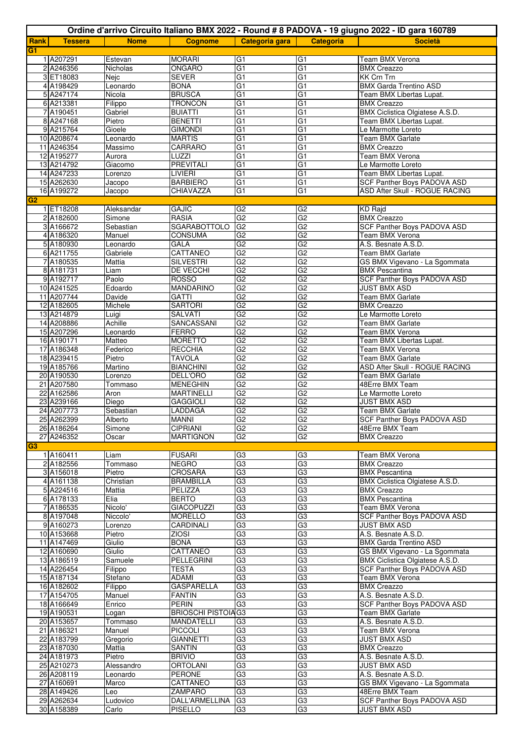|                | Ordine d'arrivo Circuito Italiano BMX 2022 - Round # 8 PADOVA - 19 giugno 2022 - ID gara 160789 |                    |                                     |                                  |                                  |                                                                      |  |
|----------------|-------------------------------------------------------------------------------------------------|--------------------|-------------------------------------|----------------------------------|----------------------------------|----------------------------------------------------------------------|--|
| Rank           | <b>Tessera</b>                                                                                  | <b>Nome</b>        | <b>Cognome</b>                      | Categoria gara                   | <b>Categoria</b>                 | <b>Società</b>                                                       |  |
| G1             |                                                                                                 |                    |                                     |                                  |                                  |                                                                      |  |
|                | 1 A207291                                                                                       | Estevan            | <b>MORARI</b>                       | G <sub>1</sub>                   | G <sub>1</sub>                   | Team BMX Verona                                                      |  |
|                | 2 A246356<br>3 ET18083                                                                          | Nicholas<br>Nejc   | ONGARO<br>SEVER                     | G <sub>1</sub><br>G <sub>1</sub> | G1<br>G <sub>1</sub>             | <b>BMX Creazzo</b><br>KK Crn Trn                                     |  |
|                | 4 A198429                                                                                       | Leonardo           | <b>BONA</b>                         | G <sub>1</sub>                   | G <sub>1</sub>                   | <b>BMX Garda Trentino ASD</b>                                        |  |
|                | 5 A247174                                                                                       | Nicola             | <b>BRUSCA</b>                       | G1                               | G1                               | Team BMX Libertas Lupat.                                             |  |
|                | 6 A213381                                                                                       | Filippo            | <b>TRONCON</b>                      | G <sub>1</sub>                   | G <sub>1</sub>                   | <b>BMX Creazzo</b>                                                   |  |
|                | 7 A190451                                                                                       | Gabriel            | <b>BUIATTI</b>                      | G <sub>1</sub>                   | G <sub>1</sub>                   | BMX Ciclistica Olgiatese A.S.D.                                      |  |
|                | 8 A247168                                                                                       | Pietro             | <b>BENETTI</b>                      | G <sub>1</sub>                   | G1                               | Team BMX Libertas Lupat.                                             |  |
|                | 9 A215764<br>10 A208674                                                                         | Gioele<br>Leonardo | <b>GIMONDI</b><br><b>MARTIS</b>     | G <sub>1</sub><br>G <sub>1</sub> | G <sub>1</sub><br>G <sub>1</sub> | Le Marmotte Loreto<br><b>Team BMX Garlate</b>                        |  |
|                | 11 A246354                                                                                      | Massimo            | CARRARO                             | G1                               | G <sub>1</sub>                   | <b>BMX Creazzo</b>                                                   |  |
|                | 12 A195277                                                                                      | Aurora             | LUZZI                               | G <sub>1</sub>                   | G <sub>1</sub>                   | Team BMX Verona                                                      |  |
|                | 13 A214792                                                                                      | Giacomo            | <b>PREVITALI</b>                    | G <sub>1</sub>                   | G <sub>1</sub>                   | Le Marmotte Loreto                                                   |  |
|                | 14 A247233                                                                                      | Lorenzo            | LIVIERI                             | G <sub>1</sub>                   | G <sub>1</sub>                   | Team BMX Libertas Lupat.                                             |  |
|                | 15 A262630<br>16 A199272                                                                        | Jacopo             | <b>BARBIERO</b><br>CHIAVAZZA        | G <sub>1</sub><br>G <sub>1</sub> | G <sub>1</sub>                   | SCF Panther Boys PADOVA ASD<br><b>ASD After Skull - ROGUE RACING</b> |  |
| G <sub>2</sub> |                                                                                                 | Jacopo             |                                     |                                  | G <sub>1</sub>                   |                                                                      |  |
|                | 1 ET18208                                                                                       | Aleksandar         | <b>GAJIC</b>                        | G <sub>2</sub>                   | G <sub>2</sub>                   | KD Rajd                                                              |  |
|                | 2 A182600                                                                                       | Simone             | <b>RASIA</b>                        | G <sub>2</sub>                   | G2                               | <b>BMX Creazzo</b>                                                   |  |
|                | 3 A166672                                                                                       | Sebastian          | <b>SGARABOTTOLO</b>                 | G <sub>2</sub>                   | G <sub>2</sub>                   | SCF Panther Boys PADOVA ASD                                          |  |
|                | 4 A186320                                                                                       | Manuel             | CONSUMA                             | G2                               | G2                               | Team BMX Verona                                                      |  |
|                | 5 A180930                                                                                       | Leonardo           | <b>GALA</b>                         | G2                               | G2                               | A.S. Besnate A.S.D.                                                  |  |
|                | 6 A211755<br>7 A180535                                                                          | Gabriele<br>Mattia | CATTANEO<br><b>SILVESTRI</b>        | G2<br>G2                         | G <sub>2</sub><br>G2             | Team BMX Garlate<br>GS BMX Vigevano - La Sgommata                    |  |
|                | 8 A181731                                                                                       | Liam               | DE VECCHI                           | G <sub>2</sub>                   | G <sub>2</sub>                   | <b>BMX Pescantina</b>                                                |  |
|                | 9 A192717                                                                                       | Paolo              | <b>ROSSO</b>                        | G <sub>2</sub>                   | G <sub>2</sub>                   | <b>SCF Panther Boys PADOVA ASD</b>                                   |  |
|                | 10 A241525                                                                                      | Edoardo            | <b>MANDARINO</b>                    | G <sub>2</sub>                   | G <sub>2</sub>                   | <b>JUST BMX ASD</b>                                                  |  |
|                | 11 A207744                                                                                      | Davide             | <b>GATTI</b>                        | G <sub>2</sub>                   | G2                               | Team BMX Garlate                                                     |  |
|                | 12 A182605                                                                                      | Michele            | <b>SARTORI</b>                      | G2                               | G <sub>2</sub>                   | <b>BMX Creazzo</b>                                                   |  |
|                | 13 A214879<br>14 A208886                                                                        | Luigi<br>Achille   | SALVATI<br>SANCASSANI               | G <sub>2</sub><br>G <sub>2</sub> | G <sub>2</sub><br>G2             | Le Marmotte Loreto<br><b>Team BMX Garlate</b>                        |  |
|                | 15 A207296                                                                                      | Leonardo           | <b>FERRO</b>                        | G <sub>2</sub>                   | G <sub>2</sub>                   | Team BMX Verona                                                      |  |
|                | 16 A190171                                                                                      | Matteo             | <b>MORETTO</b>                      | G <sub>2</sub>                   | G2                               | Team BMX Libertas Lupat.                                             |  |
|                | 17 A186348                                                                                      | Federico           | <b>RECCHIA</b>                      | G <sub>2</sub>                   | G <sub>2</sub>                   | Team BMX Verona                                                      |  |
|                | 18 A239415                                                                                      | Pietro             | TAVOLA                              | G <sub>2</sub>                   | G <sub>2</sub>                   | Team BMX Garlate                                                     |  |
|                | 19 A185766                                                                                      | Martino            | <b>BIANCHINI</b>                    | G2                               | G2                               | ASD After Skull - ROGUE RACING                                       |  |
|                | 20 A190530<br>21 A207580                                                                        | Lorenzo<br>Tommaso | <b>DELL'ORO</b><br><b>MENEGHIN</b>  | G <sub>2</sub><br>G <sub>2</sub> | G <sub>2</sub><br>G <sub>2</sub> | Team BMX Garlate<br>48Erre BMX Team                                  |  |
|                | 22 A162586                                                                                      | Aron               | <b>MARTINELLI</b>                   | G <sub>2</sub>                   | G2                               | Le Marmotte Loreto                                                   |  |
|                | 23 A239166                                                                                      | Diego              | <b>GAGGIOLI</b>                     | G <sub>2</sub>                   | G <sub>2</sub>                   | <b>JUST BMX ASD</b>                                                  |  |
|                | 24 A207773                                                                                      | Sebastian          | LADDAGA                             | G <sub>2</sub>                   | G <sub>2</sub>                   | Team BMX Garlate                                                     |  |
|                | 25 A262399                                                                                      | Alberto            | <b>MANNI</b>                        | G2                               | G <sub>2</sub>                   | <b>SCF Panther Boys PADOVA ASD</b>                                   |  |
|                | 26 A186264<br>27 A246352                                                                        | Simone<br>Oscar    | <b>CIPRIANI</b><br><b>MARTIGNON</b> | G <sub>2</sub><br>G <sub>2</sub> | G2<br>G <sub>2</sub>             | 48Erre BMX Team<br><b>BMX Creazzo</b>                                |  |
| G3             |                                                                                                 |                    |                                     |                                  |                                  |                                                                      |  |
|                | 1 A160411                                                                                       | Liam               | <b>FUSARI</b>                       | G <sub>3</sub>                   | G <sub>3</sub>                   | Team BMX Verona                                                      |  |
|                | 2 A182556                                                                                       | Tommaso            | <b>NEGRO</b>                        | G3                               | G3                               | <b>BMX Creazzo</b>                                                   |  |
|                | 3 A156018                                                                                       | Pietro             | CROSARA                             | G <sub>3</sub>                   | G3                               | <b>BMX Pescantina</b>                                                |  |
|                | 4 A161138                                                                                       | Christian          | <b>BRAMBILLA</b>                    | G <sub>3</sub>                   | G3                               | BMX Ciclistica Olgiatese A.S.D.                                      |  |
|                | 5 A224516<br>6 A178133                                                                          | Mattia<br>Elia     | PELIZZA<br><b>BERTO</b>             | G <sub>3</sub><br>G <sub>3</sub> | G3<br>G3                         | <b>BMX Creazzo</b><br><b>BMX Pescantina</b>                          |  |
|                | 7 A186535                                                                                       | Nicolo'            | <b>GIACOPUZZI</b>                   | G <sub>3</sub>                   | G3                               | Team BMX Verona                                                      |  |
|                | 8 A197048                                                                                       | Niccolo'           | <b>MORELLO</b>                      | G <sub>3</sub>                   | G <sub>3</sub>                   | SCF Panther Boys PADOVA ASD                                          |  |
|                | 9 A160273                                                                                       | Lorenzo            | CARDINALI                           | G3                               | G3                               | <b>JUST BMX ASD</b>                                                  |  |
|                | 10 A153668                                                                                      | Pietro             | ZIOSI                               | G <sub>3</sub>                   | G <sub>3</sub>                   | A.S. Besnate A.S.D.                                                  |  |
|                | 11 A147469<br>12 A160690                                                                        | Giulio             | <b>BONA</b><br>CATTANEO             | G <sub>3</sub><br>G <sub>3</sub> | G <sub>3</sub><br>G3             | <b>BMX Garda Trentino ASD</b>                                        |  |
|                | 13 A186519                                                                                      | Giulio<br>Samuele  | <b>PELLEGRINI</b>                   | G <sub>3</sub>                   | G <sub>3</sub>                   | GS BMX Vigevano - La Sgommata<br>BMX Ciclistica Olgiatese A.S.D.     |  |
|                | 14 A226454                                                                                      | Filippo            | <b>TESTA</b>                        | G <sub>3</sub>                   | G <sub>3</sub>                   | <b>SCF Panther Boys PADOVA ASD</b>                                   |  |
|                | 15 A187134                                                                                      | Stefano            | ADAMI                               | G <sub>3</sub>                   | G <sub>3</sub>                   | Team BMX Verona                                                      |  |
|                | 16 A182602                                                                                      | Filippo            | <b>GASPARELLA</b>                   | G <sub>3</sub>                   | G <sub>3</sub>                   | <b>BMX Creazzo</b>                                                   |  |
|                | 17 A154705                                                                                      | Manuel             | <b>FANTIN</b>                       | G <sub>3</sub>                   | G3                               | A.S. Besnate A.S.D.                                                  |  |
|                | 18 A166649<br>19 A190531                                                                        | Enrico<br>Logan    | PERIN<br><b>BRIOSCHI PISTOIAG3</b>  | G <sub>3</sub>                   | G3<br>G <sub>3</sub>             | SCF Panther Boys PADOVA ASD<br><b>Team BMX Garlate</b>               |  |
|                | 20 A153657                                                                                      | Tommaso            | MANDATELLI                          | G <sub>3</sub>                   | G3                               | A.S. Besnate A.S.D.                                                  |  |
|                | 21 A186321                                                                                      | Manuel             | <b>PICCOLI</b>                      | G3                               | G3                               | Team BMX Verona                                                      |  |
|                | 22 A183799                                                                                      | Gregorio           | <b>GIANNETTI</b>                    | G <sub>3</sub>                   | G3                               | <b>JUST BMX ASD</b>                                                  |  |
|                | 23 A187030                                                                                      | Mattia             | <b>SANTIN</b>                       | G3                               | G3                               | <b>BMX Creazzo</b>                                                   |  |
|                | 24 A181973                                                                                      | Pietro             | <b>BRIVIO</b>                       | G3                               | G3                               | A.S. Besnate A.S.D.                                                  |  |
|                | 25 A210273                                                                                      | Alessandro         | <b>ORTOLANI</b>                     | G <sub>3</sub>                   | G <sub>3</sub>                   | <b>JUST BMX ASD</b>                                                  |  |
|                | 26 A208119<br>27 A160691                                                                        | Leonardo<br>Marco  | PERONE<br>CATTANEO                  | G <sub>3</sub><br>G3             | G <sub>3</sub><br>G3             | A.S. Besnate A.S.D.<br>GS BMX Vigevano - La Sgommata                 |  |
|                | 28 A149426                                                                                      | Leo                | ZAMPARO                             | G <sub>3</sub>                   | G <sub>3</sub>                   | 48Erre BMX Team                                                      |  |
|                | 29 A262634                                                                                      | Ludovico           | DALL'ARMELLINA                      | G <sub>3</sub>                   | G <sub>3</sub>                   | SCF Panther Boys PADOVA ASD                                          |  |
|                | 30 A158389                                                                                      | Carlo              | <b>PISELLO</b>                      | G <sub>3</sub>                   | G <sub>3</sub>                   | <b>JUST BMX ASD</b>                                                  |  |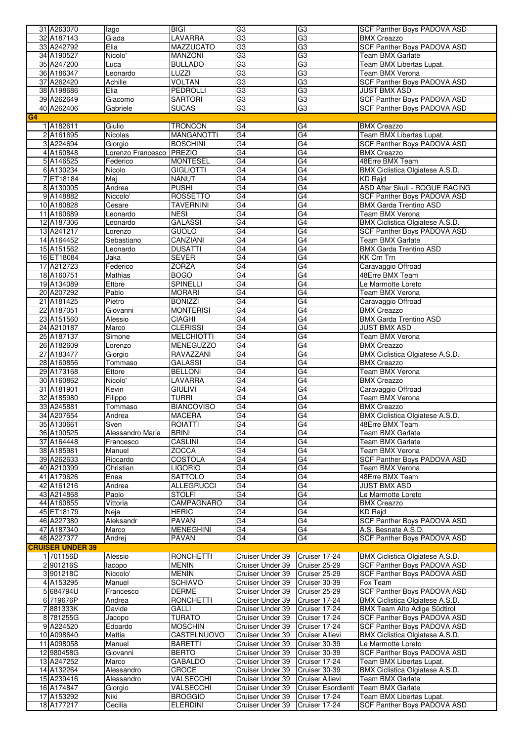|                | 31 A263070               | lago                     | <b>BIGI</b>                       | G <sub>3</sub>                       | G <sub>3</sub>                 | <b>SCF Panther Boys PADOVA ASD</b>                      |
|----------------|--------------------------|--------------------------|-----------------------------------|--------------------------------------|--------------------------------|---------------------------------------------------------|
|                | 32 A187143               | Giada                    | LAVARRA                           | $\overline{G3}$                      | G <sub>3</sub>                 | <b>BMX Creazzo</b>                                      |
|                | 33 A242792               | Elia                     | MAZZUCATO                         | G3                                   | G <sub>3</sub>                 | SCF Panther Boys PADOVA ASD                             |
|                | 34 A190527               | Nicolo'                  | MANZONI                           | G3                                   | G <sub>3</sub>                 | Team BMX Garlate                                        |
|                |                          |                          |                                   |                                      |                                |                                                         |
|                | 35 A247200               | Luca                     | <b>BULLADO</b>                    | G3                                   | G3                             | Team BMX Libertas Lupat.                                |
|                | 36 A186347               | Leonardo                 | LUZZI                             | $\overline{G3}$                      | G <sub>3</sub>                 | Team BMX Verona                                         |
|                | 37 A262420               | Achille                  | <b>VOLTAN</b>                     | G3                                   | G <sub>3</sub>                 | <b>SCF Panther Boys PADOVA ASD</b>                      |
|                | 38 A198686               | Elia                     | PEDROLLI                          | G3                                   | G <sub>3</sub>                 | <b>JUST BMX ASD</b>                                     |
|                | 39 A262649               | Giacomo                  | <b>SARTORI</b>                    | G <sub>3</sub>                       | G <sub>3</sub>                 | <b>SCF Panther Boys PADOVA ASD</b>                      |
|                |                          |                          |                                   |                                      |                                |                                                         |
|                | 40 A262406               | Gabriele                 | <b>SUCAS</b>                      | G <sub>3</sub>                       | G <sub>3</sub>                 | <b>SCF Panther Boys PADOVA ASD</b>                      |
| G <sub>4</sub> |                          |                          |                                   |                                      |                                |                                                         |
|                | 1 A182611                | Giulio                   | <b>TRONCON</b>                    | G4                                   | G <sub>4</sub>                 | <b>BMX Creazzo</b>                                      |
|                | 2A161695                 | Nicolas                  | <b>MANGANOTTI</b>                 | G4                                   | G <sub>4</sub>                 | Team BMX Libertas Lupat.                                |
|                |                          |                          |                                   |                                      |                                |                                                         |
|                | 3 A224694                | Giorgio                  | <b>BOSCHINI</b>                   | G4                                   | G <sub>4</sub>                 | SCF Panther Boys PADOVA ASD                             |
|                | 4 A160848                | Lorenzo Francesco PREZIO |                                   | G4                                   | G4                             | <b>BMX Creazzo</b>                                      |
|                | 5 A146525                | Federico                 | <b>MONTESEL</b>                   | G4                                   | G <sub>4</sub>                 | 48Erre BMX Team                                         |
|                | 6 A130234                | Nicolo                   | <b>GIGLIOTTI</b>                  | $\overline{G4}$                      | G4                             | <b>BMX Ciclistica Olgiatese A.S.D.</b>                  |
|                | 7 ET18184                | Maj                      | <b>NANUT</b>                      | G4                                   | G4                             | KD Raid                                                 |
|                | 8 A130005                | Andrea                   | <b>PUSHI</b>                      | G4                                   | G <sub>4</sub>                 | ASD After Skull - ROGUE RACING                          |
|                |                          |                          |                                   |                                      |                                |                                                         |
|                | 9 A148882                | Niccolo'                 | <b>ROSSETTO</b>                   | G4                                   | G4                             | <b>SCF Panther Boys PADOVA ASD</b>                      |
|                | 10 A180828               | Cesare                   | <b>TAVERNINI</b>                  | G4                                   | G <sub>4</sub>                 | <b>BMX Garda Trentino ASD</b>                           |
|                | 11 A160689               | Leonardo                 | <b>NESI</b>                       | G4                                   | G4                             | Team BMX Verona                                         |
|                | 12 A187306               | Leonardo                 | <b>GALASSI</b>                    | G4                                   | G <sub>4</sub>                 | BMX Ciclistica Olgiatese A.S.D.                         |
|                | 13 A241217               | Lorenzo                  | GUOLO                             | G4                                   | G <sub>4</sub>                 | SCF Panther Boys PADOVA ASD                             |
|                |                          |                          |                                   |                                      |                                |                                                         |
|                | 14 A164452               | Sebastiano               | CANZIANI                          | G4                                   | G <sub>4</sub>                 | Team BMX Garlate                                        |
|                | 15 A151562               | Leonardo                 | <b>DUSATTI</b>                    | $\overline{G4}$                      | G4                             | <b>BMX Garda Trentino ASD</b>                           |
|                | 16 ET18084               | Jaka                     | <b>SEVER</b>                      | G4                                   | G <sub>4</sub>                 | <b>KK Crn Trn</b>                                       |
|                | 17 A212723               | Federico                 | <b>ZORZA</b>                      | G4                                   | G4                             | Caravaggio Offroad                                      |
|                | 18 A160751               | <b>Mathias</b>           | <b>BOGO</b>                       | $\overline{G4}$                      | G <sub>4</sub>                 | 48Erre BMX Team                                         |
|                | 19 A134089               | Ettore                   | <b>SPINELLI</b>                   | G4                                   | G <sub>4</sub>                 | Le Marmotte Loreto                                      |
|                | 20 A207292               | Pablo                    | <b>MORARI</b>                     | G4                                   | G4                             | Team BMX Verona                                         |
|                |                          |                          |                                   |                                      |                                |                                                         |
|                | 21 A181425               | Pietro                   | <b>BONIZZI</b>                    | G4                                   | G4                             | Caravaggio Offroad                                      |
|                | 22 A187051               | Giovanni                 | <b>MONTERISI</b>                  | G4                                   | G4                             | <b>BMX Creazzo</b>                                      |
|                | 23 A151560               | Alessio                  | <b>CIAGHI</b>                     | G4                                   | G4                             | <b>BMX Garda Trentino ASD</b>                           |
|                | 24 A210187               | Marco                    | <b>CLERISSI</b>                   | G4                                   | G <sub>4</sub>                 | <b>JUST BMX ASD</b>                                     |
|                | 25 A187137               | Simone                   | <b>MELCHIOTTI</b>                 | G4                                   | G <sub>4</sub>                 | Team BMX Verona                                         |
|                | 26 A182609               | Lorenzo                  | <b>MENEGUZZO</b>                  | G4                                   | G <sub>4</sub>                 | <b>BMX Creazzo</b>                                      |
|                | 27 A183477               | Giorgio                  | RAVAZZANI                         | G4                                   | G <sub>4</sub>                 | BMX Ciclistica Olgiatese A.S.D.                         |
|                |                          | Tommaso                  |                                   | G4                                   | G4                             | <b>BMX Creazzo</b>                                      |
|                | 28 A160856               |                          | <b>GALASSI</b>                    |                                      |                                |                                                         |
|                | 29 A173168               | Ettore                   | <b>BELLONI</b>                    | G4                                   | G4                             | <b>Team BMX Verona</b>                                  |
|                | 30 A160862               | Nicolo'                  | LAVARRA                           | $\overline{G4}$                      | G4                             | <b>BMX</b> Creazzo                                      |
|                | 31 A181901               | Kevin                    | <b>GIULIVI</b>                    | G4                                   | G4                             | Caravaggio Offroad                                      |
|                | 32 A185980               | Filippo                  | <b>TURRI</b>                      | G4                                   | G4                             | Team BMX Verona                                         |
|                | 33 A245881               | Tommaso                  | <b>BIANCOVISO</b>                 | $\overline{G4}$                      | G4                             | <b>BMX Creazzo</b>                                      |
|                | 34 A207654               | Andrea                   | <b>MACERA</b>                     | G4                                   | G4                             | BMX Ciclistica Olgiatese A.S.D.                         |
|                | 35 A130661               | Sven                     | <b>ROIATTI</b>                    | G4                                   | G4                             | 48Erre BMX Team                                         |
|                | 36 A190525               | Alessandro Maria         | <b>BRINI</b>                      | G4                                   | G4                             | Team BMX Garlate                                        |
|                |                          |                          |                                   |                                      |                                |                                                         |
|                | 37 A164448               | Francesco                | <b>CASLINI</b>                    | G4                                   | G4                             | Team BMX Garlate                                        |
|                | 38 A185981               | Manuel                   | <b>ZOCCA</b>                      | G4                                   | G4                             | Team BMX Verona                                         |
|                | 39 A262633               | Riccardo                 | <b>COSTOLA</b>                    | G4                                   | G4                             | SCF Panther Boys PADOVA ASD                             |
|                | 40 A210399               | Christian                | <b>LIGORIO</b>                    | G4                                   | G4                             | Team BMX Verona                                         |
|                | 41 A179626               | Enea                     | <b>SATTOLO</b>                    | $\overline{G4}$                      | G <sub>4</sub>                 | 48Erre BMX Team                                         |
|                | 42 A161216               | Andrea                   | <b>ALLEGRUCCI</b>                 | G4                                   | G4                             | <b>JUST BMX ASD</b>                                     |
|                | 43 A214868               | Paolo                    | <b>STOLFI</b>                     | G4                                   | G <sub>4</sub>                 | Le Marmotte Loreto                                      |
|                | 44 A160855               | Vittoria                 | CAMPAGNARO                        | G4                                   | G4                             | <b>BMX Creazzo</b>                                      |
|                |                          |                          |                                   | G4                                   |                                |                                                         |
|                | 45 ET18179               | Neja                     | <b>HERIC</b>                      |                                      | G4                             | KD Rajd                                                 |
|                | 46 A227380               | Aleksandr                | <b>PAVAN</b>                      | G4                                   | G <sub>4</sub>                 | <b>SCF Panther Boys PADOVA ASD</b>                      |
|                | 47 A187340               | Marco                    | <b>MENEGHINI</b>                  | $\overline{G4}$                      | G4                             | A.S. Besnate A.S.D.                                     |
|                | 48 A227377               | Andrej                   | <b>PAVAN</b>                      | G4                                   | G4                             | <b>SCF Panther Boys PADOVA ASD</b>                      |
|                | <b>CRUISER UNDER 39</b>  |                          |                                   |                                      |                                |                                                         |
|                | 1 701156D                | Alessio                  | <b>RONCHETTI</b>                  | Cruiser Under 39                     | Cruiser 17-24                  | BMX Ciclistica Olgiatese A.S.D.                         |
|                | 2001216S                 | lacopo                   | <b>MENIN</b>                      | Cruiser Under 39                     | Cruiser 25-29                  | SCF Panther Boys PADOVA ASD                             |
|                | 3901218C                 | Niccolo'                 | <b>MENIN</b>                      | Cruiser Under 39                     | Cruiser 25-29                  | SCF Panther Boys PADOVA ASD                             |
|                |                          |                          |                                   |                                      |                                |                                                         |
|                | 4 A153295                | Manuel                   | <b>SCHIAVO</b>                    | Cruiser Under 39                     | Cruiser 30-39                  | Fox Team                                                |
|                | 5 684794U                | Francesco                | <b>DERME</b>                      | Cruiser Under 39                     | Cruiser 25-29                  | <b>SCF Panther Boys PADOVA ASD</b>                      |
|                | 6 719676P                | Andrea                   | <b>RONCHETTI</b>                  | Cruiser Under 39                     | Cruiser 17-24                  | BMX Ciclistica Olgiatese A.S.D.                         |
|                | 7881333K                 | Davide                   | <b>GALLI</b>                      | Cruiser Under 39                     | Cruiser 17-24                  | <b>BMX Team Alto Adige Südtirol</b>                     |
|                | 8 781255G                | $\overline{Jacopo}$      | <b>TURATO</b>                     | Cruiser Under 39                     | Cruiser 17-24                  | <b>SCF Panther Boys PADOVA ASD</b>                      |
|                | 9 A224520                | Edoardo                  | <b>MOSCHIN</b>                    | Cruiser Under 39                     | Cruiser 17-24                  | <b>SCF Panther Boys PADOVA ASD</b>                      |
|                | 10 A098640               | Mattia                   | CASTELNUOVO                       | Cruiser Under 39                     | <b>Cruiser Allievi</b>         | BMX Ciclistica Olgiatese A.S.D.                         |
|                |                          |                          | <b>BARETTI</b>                    | Cruiser Under 39                     | Cruiser 30-39                  | Le Marmotte Loreto                                      |
|                |                          |                          |                                   |                                      |                                |                                                         |
|                | 11 A098058               | Manuel                   |                                   |                                      |                                |                                                         |
|                | 12 980458G               | Giovanni                 | <b>BERTO</b>                      | Cruiser Under 39                     | Cruiser 30-39                  | <b>SCF Panther Boys PADOVA ASD</b>                      |
|                | 13 A247252               | Marco                    | <b>GABALDO</b>                    | Cruiser Under 39                     | Cruiser 17-24                  | Team BMX Libertas Lupat.                                |
|                | 14 A132264               | Alessandro               | CROCE                             | Cruiser Under 39                     | Cruiser 30-39                  | BMX Ciclistica Olgiatese A.S.D.                         |
|                | 15 A239416               | Alessandro               | VALSECCHI                         | Cruiser Under 39                     | <b>Cruiser Allievi</b>         | Team BMX Garlate                                        |
|                | 16 A174847               | Giorgio                  | VALSECCHI                         | Cruiser Under 39                     | Cruiser Esordienti             | Team BMX Garlate                                        |
|                |                          | Niki                     |                                   |                                      |                                |                                                         |
|                | 17 A153292<br>18 A177217 | Cecilia                  | <b>BROGGIO</b><br><b>ELERDINI</b> | Cruiser Under 39<br>Cruiser Under 39 | Cruiser 17-24<br>Cruiser 17-24 | Team BMX Libertas Lupat.<br>SCF Panther Boys PADOVA ASD |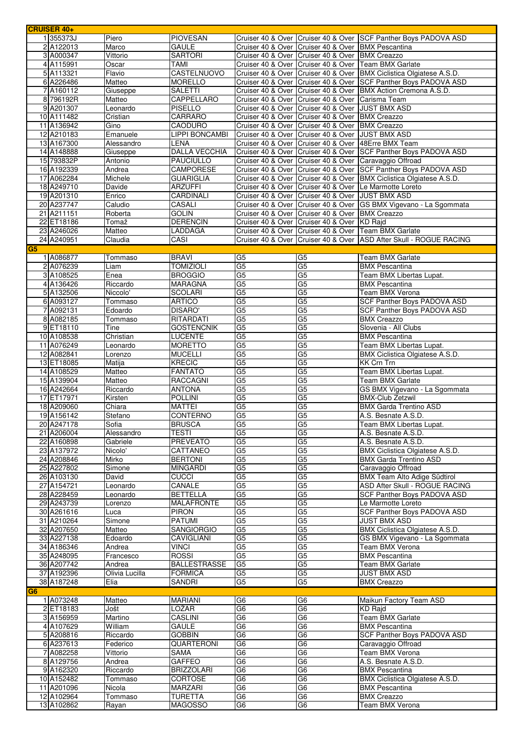|                | <b>CRUISER 40+</b>       |                  |                           |                                     |                                                        |                                                                       |
|----------------|--------------------------|------------------|---------------------------|-------------------------------------|--------------------------------------------------------|-----------------------------------------------------------------------|
|                | 1 355373J                | Piero            | <b>PIOVESAN</b>           |                                     |                                                        | Cruiser 40 & Over Cruiser 40 & Over SCF Panther Boys PADOVA ASD       |
|                | 2 A122013                | Marco            | <b>GAULE</b>              |                                     | Cruiser 40 & Over   Cruiser 40 & Over   BMX Pescantina |                                                                       |
|                | 3 A000347                | Vittorio         | <b>SARTORI</b>            |                                     | Cruiser 40 & Over Cruiser 40 & Over BMX Creazzo        |                                                                       |
|                | 4 A115991                | Oscar            | TAMI                      |                                     |                                                        | Cruiser 40 & Over   Cruiser 40 & Over   Team BMX Garlate              |
|                | 5 A113321                | Flavio           | CASTELNUOVO               |                                     |                                                        | Cruiser 40 & Over Cruiser 40 & Over   BMX Ciclistica Olgiatese A.S.D. |
|                | 6 A226486                | Matteo           | <b>MORELLO</b>            |                                     |                                                        | Cruiser 40 & Over   Cruiser 40 & Over   SCF Panther Boys PADOVA ASD   |
|                | 7 A160112                | Giuseppe         | <b>SALETTI</b>            | Cruiser 40 & Over Cruiser 40 & Over |                                                        | BMX Action Cremona A.S.D.                                             |
|                | 8 796192R                | Matteo           | CAPPELLARO                | Cruiser 40 & Over Cruiser 40 & Over |                                                        | Carisma Team                                                          |
|                | 9 A201307                | Leonardo         | <b>PISELLO</b>            |                                     | Cruiser 40 & Over Cruiser 40 & Over JJUST BMX ASD      |                                                                       |
|                | 10 A111482               | Cristian         | CARRARO                   |                                     | Cruiser 40 & Over Cruiser 40 & Over BMX Creazzo        |                                                                       |
|                | 11 A136942               | Gino             | <b>CAODURO</b>            | Cruiser 40 & Over Cruiser 40 & Over |                                                        | <b>BMX Creazzo</b>                                                    |
|                |                          |                  | <b>LIPPI BONCAMBI</b>     | Cruiser 40 & Over Cruiser 40 & Over |                                                        | <b>JUST BMX ASD</b>                                                   |
|                | 12 A210183               | Emanuele         |                           |                                     |                                                        |                                                                       |
|                | 13 A167300               | Alessandro       | LENA                      | Cruiser 40 & Over Cruiser 40 & Over |                                                        | 48Erre BMX Team                                                       |
|                | 14 A148888               | Giuseppe         | <b>DALLA VECCHIA</b>      | Cruiser 40 & Over Cruiser 40 & Over |                                                        | <b>SCF Panther Boys PADOVA ASD</b>                                    |
|                | 15 793832P               | Antonio          | <b>PAUCIULLO</b>          |                                     |                                                        | Cruiser 40 & Over Cruiser 40 & Over Caravaggio Offroad                |
|                | 16 A192339               | Andrea           | CAMPORESE                 |                                     |                                                        | Cruiser 40 & Over Cruiser 40 & Over SCF Panther Boys PADOVA ASD       |
|                | 17 A062284               | Michele          | <b>GUARIGLIA</b>          | Cruiser 40 & Over Cruiser 40 & Over |                                                        | BMX Ciclistica Olgiatese A.S.D.                                       |
|                | 18 A249710               | Davide           | <b>ARZUFFI</b>            |                                     |                                                        | Cruiser 40 & Over Cruiser 40 & Over Le Marmotte Loreto                |
|                | 19 A201310               | Enrico           | CARDINALI                 |                                     | Cruiser 40 & Over Cruiser 40 & Over                    | <b>JUST BMX ASD</b>                                                   |
|                | 20 A237747               | Caludio          | CASALI                    | Cruiser 40 & Over Cruiser 40 & Over |                                                        | GS BMX Vigevano - La Sgommata                                         |
|                | 21 A211151               | Roberta          | <b>GOLIN</b>              |                                     | Cruiser 40 & Over Cruiser 40 & Over BMX Creazzo        |                                                                       |
|                | 22 ET18186               | Tomaž            | <b>DERENCIN</b>           |                                     | Cruiser 40 & Over Cruiser 40 & Over KD Rajd            |                                                                       |
|                | 23 A246026               | Matteo           | LADDAGA                   |                                     |                                                        | Cruiser 40 & Over Cruiser 40 & Over Team BMX Garlate                  |
|                | 24 A240951               | Claudia          | CASI                      | Cruiser 40 & Over Cruiser 40 & Over |                                                        | ASD After Skull - ROGUE RACING                                        |
| G <sub>5</sub> |                          |                  |                           |                                     |                                                        |                                                                       |
|                |                          |                  |                           |                                     |                                                        |                                                                       |
|                | 1 A086877                | <b>Tommaso</b>   | <b>BRAVI</b>              | G <sub>5</sub>                      | G <sub>5</sub>                                         | Team BMX Garlate                                                      |
|                | 2 A076239                | Liam             | <b>TOMIZIOLI</b>          | G <sub>5</sub>                      | G <sub>5</sub>                                         | <b>BMX Pescantina</b>                                                 |
|                | 3 A108525                | Enea             | <b>BROGGIO</b>            | G5                                  | G <sub>5</sub>                                         | Team BMX Libertas Lupat.                                              |
|                | 4 A136426                | Riccardo         | <b>MARAGNA</b>            | $\overline{G5}$                     | G <sub>5</sub>                                         | <b>BMX Pescantina</b>                                                 |
|                | 5 A132506                | Niccolo'         | <b>SCOLARI</b>            | G <sub>5</sub>                      | G <sub>5</sub>                                         | Team BMX Verona                                                       |
|                | 6 A093127                | Tommaso          | <b>ARTICO</b>             | G5                                  | G <sub>5</sub>                                         | SCF Panther Boys PADOVA ASD                                           |
|                | 7 A092131                | Edoardo          | <b>DISARO'</b>            | G <sub>5</sub>                      | G <sub>5</sub>                                         | SCF Panther Boys PADOVA ASD                                           |
|                | 8 A082185                | Tommaso          | RITARDATI                 | G <sub>5</sub>                      | G <sub>5</sub>                                         | <b>BMX Creazzo</b>                                                    |
|                | 9 ET18110                | Tine             | <b>GOSTENCNIK</b>         | G5                                  | G <sub>5</sub>                                         | Slovenia - All Clubs                                                  |
|                | 10 A108538               | Christian        | LUCENTE                   | G <sub>5</sub>                      | G <sub>5</sub>                                         | <b>BMX Pescantina</b>                                                 |
|                | 11 A076249               | Leonardo         | <b>MORETTO</b>            | G <sub>5</sub>                      | G <sub>5</sub>                                         | Team BMX Libertas Lupat.                                              |
|                | 12 A082841               | Lorenzo          | <b>MUCELLI</b>            | G <sub>5</sub>                      | G5                                                     | BMX Ciclistica Olgiatese A.S.D.                                       |
|                | 13 ET18085               | Matija           | <b>KRECIC</b>             | G5                                  | G <sub>5</sub>                                         | <b>KK Crn Trn</b>                                                     |
|                | 14 A108529               | Matteo           | <b>FANTATO</b>            | G <sub>5</sub>                      | G <sub>5</sub>                                         | Team BMX Libertas Lupat.                                              |
|                |                          |                  |                           |                                     |                                                        |                                                                       |
|                | 15 A139904               | Matteo           | RACCAGNI                  | $\overline{G5}$                     | G <sub>5</sub>                                         | <b>Team BMX Garlate</b>                                               |
|                | 16 A242664               | Riccardo         | <b>ANTONA</b>             | $\overline{G5}$                     | G <sub>5</sub>                                         | GS BMX Vigevano - La Sgommata                                         |
|                | 17 ET17971               | Kirsten          | <b>POLLINI</b>            | G <sub>5</sub>                      | G5                                                     | <b>BMX-Club Zetzwil</b>                                               |
|                | 18 A209060               | Chiara           | <b>MATTEI</b>             | G <sub>5</sub>                      | G <sub>5</sub>                                         | <b>BMX Garda Trentino ASD</b>                                         |
|                | 19 A156142               | Stefano          | <b>CONTERNO</b>           | G <sub>5</sub>                      | G <sub>5</sub>                                         | A.S. Besnate A.S.D.                                                   |
|                | 20 A247178               | Sofia            | <b>BRUSCA</b>             | G <sub>5</sub>                      | G <sub>5</sub>                                         | Team BMX Libertas Lupat.                                              |
|                | 21 A206004               | Alessandro       | <b>TESTI</b>              | G5                                  | G5                                                     | A.S. Besnate A.S.D.                                                   |
|                | 22 A160898               | Gabriele         | PREVEATO                  | G5                                  | G5                                                     | A.S. Besnate A.S.D.                                                   |
|                |                          |                  |                           |                                     |                                                        |                                                                       |
|                | 23 A137972               | Nicolo'          | CATTANEO                  | G5                                  | G5                                                     | BMX Ciclistica Olgiatese A.S.D.                                       |
|                | 24 A208846               | Mirko            | <b>BERTONI</b>            | G <sub>5</sub>                      | G <sub>5</sub>                                         | <b>BMX Garda Trentino ASD</b>                                         |
|                |                          |                  |                           |                                     |                                                        |                                                                       |
|                | 25 A227802               | Simone           | <b>MINGARDI</b>           | G5                                  | G5                                                     | Caravaggio Offroad                                                    |
|                | 26 A103130               | David            | <b>CUCCI</b>              | G <sub>5</sub>                      | G5                                                     | <b>BMX Team Alto Adige Südtirol</b>                                   |
|                | 27 A154721               | Leonardo         | CANALE                    | G <sub>5</sub>                      | G5                                                     | ASD After Skull - ROGUE RACING                                        |
|                | 28 A228459               | Leonardo         | <b>BETTELLA</b>           | G <sub>5</sub>                      | G <sub>5</sub>                                         | <b>SCF Panther Boys PADOVA ASD</b>                                    |
|                | 29 A243739               | Lorenzo          | <b>MALAFRONTE</b>         | G <sub>5</sub>                      | G5                                                     | Le Marmotte Loreto                                                    |
|                | 30 A261616               | Luca             | <b>PIRON</b>              | G5                                  | G5                                                     | SCF Panther Boys PADOVA ASD                                           |
|                | 31 A210264               | Simone           | <b>PATUMI</b>             | G <sub>5</sub>                      | G <sub>5</sub>                                         | <b>JUST BMX ASD</b>                                                   |
|                | 32 A207650               | Matteo           | <b>SANGIORGIO</b>         | G <sub>5</sub>                      | $\overline{G5}$                                        | BMX Ciclistica Olgiatese A.S.D.                                       |
|                | 33 A227138               | Edoardo          | CAVIGLIANI                | G <sub>5</sub>                      | G <sub>5</sub>                                         | GS BMX Vigevano - La Sgommata                                         |
|                | 34 A186346               | Andrea           | <b>VINCI</b>              | G <sub>5</sub>                      | G <sub>5</sub>                                         | Team BMX Verona                                                       |
|                | 35 A248095               | Francesco        | <b>ROSSI</b>              | G5                                  | G <sub>5</sub>                                         | <b>BMX Pescantina</b>                                                 |
|                | 36 A207742               | Andrea           | <b>BALLESTRASSE</b>       | G5                                  | G <sub>5</sub>                                         | Team BMX Garlate                                                      |
|                | 37 A192396               | Olivia Lucilla   | <b>FORMICA</b>            | G <sub>5</sub>                      | G5                                                     | <b>JUST BMX ASD</b>                                                   |
|                | 38 A187248               | Elia             | SANDRI                    | G <sub>5</sub>                      | G <sub>5</sub>                                         | <b>BMX Creazzo</b>                                                    |
| IG6            |                          |                  |                           |                                     |                                                        |                                                                       |
|                | 1 A073248                |                  | <b>MARIANI</b>            | G <sub>6</sub>                      | G <sub>6</sub>                                         | Maikun Factory Team ASD                                               |
|                | 2ET18183                 | Matteo<br>Jošt   | LOŽAR                     | G <sub>6</sub>                      | G <sub>6</sub>                                         | <b>KD Raid</b>                                                        |
|                |                          |                  |                           |                                     |                                                        |                                                                       |
|                | 3 A156959                | Martino          | CASLINI                   | G <sub>6</sub>                      | G6                                                     | <b>Team BMX Garlate</b>                                               |
|                | 4 A107629                | William          | GAULE                     | G <sub>6</sub>                      | G <sub>6</sub>                                         | <b>BMX Pescantina</b>                                                 |
|                | 5 A208816                | Riccardo         | <b>GOBBIN</b>             | G <sub>6</sub>                      | GO                                                     | <b>SCF Panther Boys PADOVA ASD</b>                                    |
|                | 6 A237613                | Federico         | QUARTERONI                | G <sub>6</sub>                      | G6                                                     | Caravaggio Offroad                                                    |
|                | 7 A082258                | Vittorio         | SAMA                      | G <sub>6</sub>                      | G <sub>6</sub>                                         | Team BMX Verona                                                       |
|                | 8 A129756                | Andrea           | <b>GAFFEO</b>             | G <sub>6</sub>                      | G6                                                     | A.S. Besnate A.S.D.                                                   |
|                | 9 A162320                | Riccardo         | <b>BRIZZOLARI</b>         | G6                                  | G <sub>6</sub>                                         | <b>BMX Pescantina</b>                                                 |
|                | 10 A152482               | Tommaso          | <b>CORTOSE</b>            | $\overline{G6}$                     | G <sub>6</sub>                                         | BMX Ciclistica Olgiatese A.S.D.                                       |
|                | 11 A201096               | Nicola           | MARZARI                   | G <sub>6</sub>                      | G <sub>6</sub>                                         | <b>BMX Pescantina</b>                                                 |
|                | 12 A102964<br>13 A102862 | Tommaso<br>Rayan | <b>TURETTA</b><br>MAGOSSO | G <sub>6</sub><br>G <sub>6</sub>    | GO<br>G <sub>6</sub>                                   | <b>BMX Creazzo</b><br>Team BMX Verona                                 |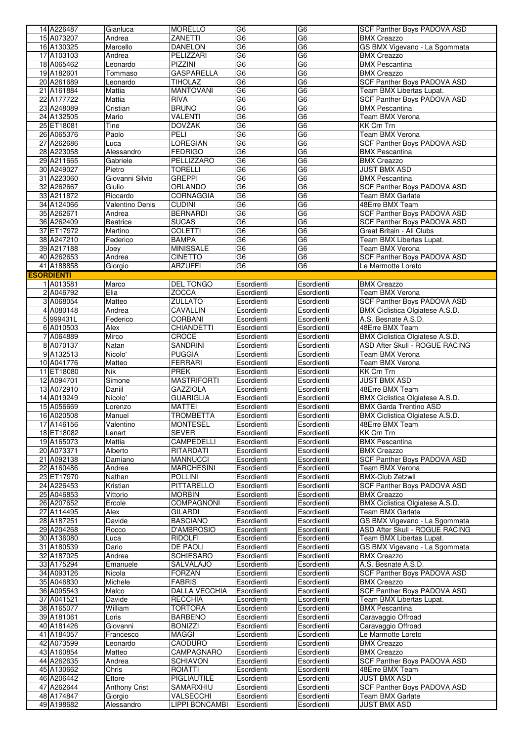| 14 A226487               | Gianluca               | <b>MORELLO</b>              | G6                       | G6                       | SCF Panther Boys PADOVA ASD             |
|--------------------------|------------------------|-----------------------------|--------------------------|--------------------------|-----------------------------------------|
| 15 A073207               | Andrea                 | ZANETTI                     | G6                       | G6                       | <b>BMX Creazzo</b>                      |
| 16 A130325               | Marcello               | <b>DANELON</b>              | G <sub>6</sub>           | G <sub>6</sub>           | GS BMX Vigevano - La Sgommata           |
| 17 A103103               | Andrea                 | PELIZZARI                   | G <sub>6</sub>           | G6                       | <b>BMX Creazzo</b>                      |
| 18 A065462               | Leonardo               | <b>PIZZINI</b>              | G <sub>6</sub>           | G <sub>6</sub>           | <b>BMX Pescantina</b>                   |
| 19 A182601               | Tommaso                | <b>GASPARELLA</b>           | G <sub>6</sub>           | G <sub>6</sub>           | <b>BMX Creazzo</b>                      |
| 20 A261689               | Leonardo               | <b>TIHOLAZ</b>              | G6                       | G <sub>6</sub>           | <b>SCF Panther Boys PADOVA ASD</b>      |
| 21 A161884               | Mattia                 | <b>MANTOVANI</b>            | G <sub>6</sub>           | G <sub>6</sub>           | Team BMX Libertas Lupat.                |
| 22 A177722               | Mattia                 | <b>RIVA</b>                 | G <sub>6</sub>           | G <sub>6</sub>           |                                         |
|                          |                        |                             |                          |                          | SCF Panther Boys PADOVA ASD             |
| 23 A248089               | Cristian               | <b>BRUNO</b>                | G <sub>6</sub>           | G <sub>6</sub>           | <b>BMX Pescantina</b>                   |
| 24 A132505               | Mario                  | <b>VALENTI</b>              | G <sub>6</sub>           | G <sub>6</sub>           | <b>Team BMX Verona</b>                  |
| 25 ET18081               | Tine                   | <b>DOVŽAK</b>               | G <sub>6</sub>           | G <sub>6</sub>           | <b>KK Crn Trn</b>                       |
| 26 A065376               | Paolo                  | PELI                        | G <sub>6</sub>           | G <sub>6</sub>           | <b>Team BMX Verona</b>                  |
| 27 A262686               | Luca                   | <b>LOREGIAN</b>             | G <sub>6</sub>           | G <sub>6</sub>           | SCF Panther Boys PADOVA ASD             |
| 28 A223058               | Alessandro             | <b>FEDRIGO</b>              | G <sub>6</sub>           | G <sub>6</sub>           | <b>BMX Pescantina</b>                   |
| 29 A211665               | Gabriele               | PELLIZZARO                  | G <sub>6</sub>           | G <sub>6</sub>           | <b>BMX Creazzo</b>                      |
| 30 A249027               | Pietro                 | <b>TORELLI</b>              | G6                       | $\overline{G6}$          | <b>JUST BMX ASD</b>                     |
| 31 A223060               | Giovanni Silvio        | <b>GREPPI</b>               | G <sub>6</sub>           | G <sub>6</sub>           | <b>BMX Pescantina</b>                   |
| 32 A262667               | Giulio                 | ORLANDO                     | G <sub>6</sub>           | G <sub>6</sub>           | SCF Panther Boys PADOVA ASD             |
|                          |                        |                             |                          |                          |                                         |
| 33 A211872               | Riccardo               | <b>CORNAGGIA</b>            | G6                       | G6                       | <b>Team BMX Garlate</b>                 |
| 34 A124066               | <b>Valentino Denis</b> | <b>CUDINI</b>               | G6                       | G <sub>6</sub>           | 48Erre BMX Team                         |
| 35 A262671               | Andrea                 | <b>BERNARDI</b>             | G <sub>6</sub>           | G <sub>6</sub>           | SCF Panther Boys PADOVA ASD             |
| 36 A262409               | <b>Beatrice</b>        | <b>SUCAS</b>                | G6                       | G6                       | SCF Panther Boys PADOVA ASD             |
| 37 ET17972               | Martino                | <b>COLETTI</b>              | G <sub>6</sub>           | G <sub>6</sub>           | Great Britain - All Clubs               |
| 38 A247210               | Federico               | <b>BAMPA</b>                | G <sub>6</sub>           | G <sub>6</sub>           | Team BMX Libertas Lupat.                |
| 39 A217188               | Joey                   | <b>MINISSALE</b>            | G <sub>6</sub>           | G <sub>6</sub>           | Team BMX Verona                         |
| 40 A262653               | Andrea                 | <b>CINETTO</b>              | G6                       | G6                       | <b>SCF Panther Boys PADOVA ASD</b>      |
| 41 A188858               | Giorgio                | <b>ARZUFFI</b>              | G <sub>6</sub>           | G6                       | Le Marmotte Loreto                      |
| <b>ESORDIENTI</b>        |                        |                             |                          |                          |                                         |
|                          |                        |                             |                          |                          |                                         |
| 1 A013581                | Marco                  | <b>DEL TONGO</b>            | Esordienti               | Esordienti               | <b>BMX Creazzo</b>                      |
| 2 A046792                | Elia                   | <b>ZOCCA</b>                | Esordienti               | Esordienti               | Team BMX Verona                         |
| 3 A068054                | Matteo                 | <b>ZULLATO</b>              | Esordienti               | Esordienti               | SCF Panther Boys PADOVA ASD             |
| 4 A080148                | Andrea                 | <b>CAVALLIN</b>             | Esordienti               | Esordienti               | BMX Ciclistica Olgiatese A.S.D.         |
| 5 999431L                | Federico               | <b>CORBANI</b>              | Esordienti               | Esordienti               | A.S. Besnate A.S.D.                     |
| 6 A010503                | Alex                   | CHIANDETTI                  | Esordienti               | Esordienti               | 48Erre BMX Team                         |
| 7 A064889                | Mirco                  | CROCE                       | Esordienti               | Esordienti               | BMX Ciclistica Olgiatese A.S.D.         |
| 8 A070137                | Natan                  | <b>SANDRINI</b>             | Esordienti               | Esordienti               | ASD After Skull - ROGUE RACING          |
| 9 A132513                | Nicolo'                | <b>PUGGIA</b>               | Esordienti               | Esordienti               | Team BMX Verona                         |
| 10 A041776               | Matteo                 | <b>FERRARI</b>              | Esordienti               | Esordienti               | Team BMX Verona                         |
| 11 ET18080               | Nik                    | <b>PREK</b>                 | Esordienti               | Esordienti               | KK Crn Trn                              |
|                          |                        |                             |                          |                          |                                         |
| 12 A094701               | Simone                 | <b>MASTRIFORTI</b>          | Esordienti               | Esordienti               | <b>JUST BMX ASD</b>                     |
| 13 A072910               | Daniil                 | <b>GAZZIOLA</b>             | Esordienti               | Esordienti               | 48Erre BMX Team                         |
| 14 A019249               | Nicolo'                | <b>GUARIGLIA</b>            | Esordienti               | Esordienti               | BMX Ciclistica Olgiatese A.S.D.         |
| 15 A056669               | Lorenzo                | <b>MATTEI</b>               | Esordienti               | Esordienti               | <b>BMX Garda Trentino ASD</b>           |
| 16 A020508               |                        | <b>TROMBETTA</b>            | Esordienti               | Esordienti               | <b>BMX Ciclistica Olgiatese A.S.D.</b>  |
|                          | Manuel                 |                             |                          |                          |                                         |
| 17 A146156               | Valentino              | <b>MONTESEL</b>             | Esordienti               | Esordienti               | 48Erre BMX Team                         |
| 18 ET18082               | Lenart                 | <b>SEVER</b>                |                          | Esordienti               | <b>KK Crn Trn</b>                       |
|                          |                        |                             | Esordienti<br>Esordienti |                          | <b>BMX Pescantina</b>                   |
| 19 A165073               | Mattia                 | CAMPEDELLI                  |                          | Esordienti               |                                         |
| 20 A073371               | Alberto                | <b>RITARDATI</b>            | Esordienti               | Esordienti               | <b>BMX Creazzo</b>                      |
| 21 A092138               | Damiano                | <b>MANNUCCI</b>             | Esordienti               | Esordienti               | SCF Panther Boys PADOVA ASD             |
| 22 A160486               | Andrea                 | <b>MARCHESINI</b>           | Esordienti               | Esordienti               | Team BMX Verona                         |
| 23 ET17970               | Nathan                 | <b>POLLINI</b>              | Esordienti               | Esordienti               | <b>BMX-Club Zetzwil</b>                 |
| 24 A226453               | Kristian               | PITTARELLO                  | Esordienti               | Esordienti               | SCF Panther Boys PADOVA ASD             |
| 25 A046853               | Vittorio               | <b>MORBIN</b>               | Esordienti               | Esordienti               | <b>BMX Creazzo</b>                      |
| 26 A207652               | Ercole                 | COMPAGNONI                  | Esordienti               | Esordienti               | BMX Ciclistica Olgiatese A.S.D.         |
| 27 A114495               | Alex                   | <b>GILARDI</b>              | Esordienti               | Esordienti               | <b>Team BMX Garlate</b>                 |
| 28 A187251               | Davide                 | <b>BASCIANO</b>             | Esordienti               | Esordienti               | GS BMX Vigevano - La Sgommata           |
| 29 A204268               | Rocco                  | D'AMBROSIO                  | Esordienti               | Esordienti               | ASD After Skull - ROGUE RACING          |
|                          |                        |                             |                          |                          |                                         |
| 30 A136080               | Luca                   | <b>RIDOLFI</b>              | Esordienti               | Esordienti               | Team BMX Libertas Lupat.                |
| 31 A180539               | Dario                  | <b>DE PAOLI</b>             | Esordienti               | Esordienti               | GS BMX Vigevano - La Sgommata           |
| 32 A187025               | Andrea                 | <b>SCHIESARO</b>            | Esordienti               | Esordienti               | <b>BMX Creazzo</b>                      |
| 33 A175294               | Emanuele               | SALVALAJO                   | Esordienti               | Esordienti               | A.S. Besnate A.S.D.                     |
| 34 A093126               | Nicola                 | <b>FORZAN</b>               | Esordienti               | Esordienti               | SCF Panther Boys PADOVA ASD             |
| 35 A046830               | Michele                | <b>FABRIS</b>               | Esordienti               | Esordienti               | <b>BMX Creazzo</b>                      |
| 36 A095543               | Malco                  | DALLA VECCHIA               | Esordienti               | Esordienti               | SCF Panther Boys PADOVA ASD             |
| 37 A041521               | Davide                 | <b>RECCHIA</b>              | Esordienti               | Esordienti               | Team BMX Libertas Lupat.                |
| 38 A165077               | William                | <b>TORTORA</b>              | Esordienti               | Esordienti               | <b>BMX Pescantina</b>                   |
| 39 A181061               | Loris                  | <b>BARBENO</b>              | Esordienti               | Esordienti               | Caravaggio Offroad                      |
| 40 A181426               | Giovanni               | <b>BONIZZI</b>              | Esordienti               |                          |                                         |
|                          |                        |                             |                          | Esordienti               | Caravaggio Offroad                      |
| 41 A184057               | Francesco              | <b>MAGGI</b>                | Esordienti               | Esordienti               | Le Marmotte Loreto                      |
| 42 A073599               | Leonardo               | CAODURO                     | Esordienti               | Esordienti               | <b>BMX Creazzo</b>                      |
| 43 A160854               | Matteo                 | CAMPAGNARO                  | Esordienti               | Esordienti               | <b>BMX Creazzo</b>                      |
| 44 A262635               | Andrea                 | <b>SCHIAVON</b>             | Esordienti               | Esordienti               | <b>SCF Panther Boys PADOVA ASD</b>      |
| 45 A130662               | Chris                  | <b>ROIATTI</b>              | Esordienti               | Esordienti               | 48Erre BMX Team                         |
| 46 A206442               | Ettore                 | PIGLIAUTILE                 | Esordienti               | Esordienti               | <b>JUST BMX ASD</b>                     |
| 47 A262644               | <b>Anthony Crist</b>   | SAMARXHIU                   | Esordienti               | Esordienti               | SCF Panther Boys PADOVA ASD             |
| 48 A174847<br>49 A198682 | Giorgio<br>Alessandro  | VALSECCHI<br>LIPPI BONCAMBI | Esordienti<br>Esordienti | Esordienti<br>Esordienti | Team BMX Garlate<br><b>JUST BMX ASD</b> |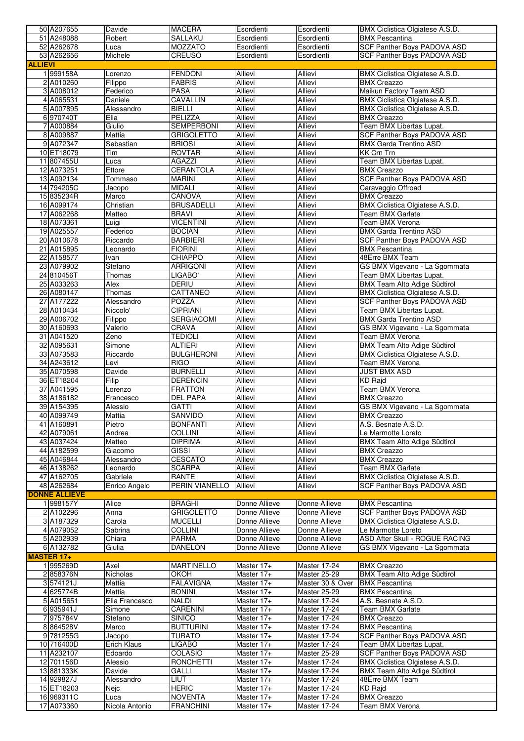|                | 50 A207655               | Davide                 | <b>MACERA</b>                      | Esordienti               | Esordienti                   | BMX Ciclistica Olgiatese A.S.D.       |
|----------------|--------------------------|------------------------|------------------------------------|--------------------------|------------------------------|---------------------------------------|
|                | 51 A248088               | Robert                 | SALLAKU                            | Esordienti               | Esordienti                   | <b>BMX Pescantina</b>                 |
|                | 52 A262678               | Luca                   | <b>MOZZATO</b>                     | Esordienti               | Esordienti                   | SCF Panther Boys PADOVA ASD           |
|                | 53 A262656               | Michele                | <b>CREUSO</b>                      | Esordienti               | Esordienti                   | <b>SCF Panther Boys PADOVA ASD</b>    |
| <b>ALLIEVI</b> |                          |                        |                                    |                          |                              |                                       |
|                | 1999158A                 |                        | <b>FENDONI</b>                     | Allievi                  | Allievi                      |                                       |
|                |                          | Lorenzo                |                                    |                          |                              | BMX Ciclistica Olgiatese A.S.D.       |
|                | 2 A010260                | Filippo                | <b>FABRIS</b>                      | Allievi                  | Allievi                      | <b>BMX Creazzo</b>                    |
|                | 3 A008012                | Federico               | <b>PASA</b>                        | Allievi                  | <b>Allievi</b>               | Maikun Factory Team ASD               |
|                | 4 A065531                | Daniele                | CAVALLIN                           | Allievi                  | Allievi                      | BMX Ciclistica Olgiatese A.S.D.       |
|                | 5 A007895                | Alessandro             | <b>BIELLI</b>                      | Allievi                  | Allievi                      | BMX Ciclistica Olgiatese A.S.D.       |
|                | 6 970740T                | Elia                   | PELIZZA                            | Allievi                  | Allievi                      | <b>BMX Creazzo</b>                    |
|                | 7 A000884                | Giulio                 | <b>SEMPERBONI</b>                  | Allievi                  | Allievi                      | Team BMX Libertas Lupat.              |
|                | 8 A009887                | Mattia                 | <b>GRIGOLETTO</b>                  | Allievi                  | Allievi                      | SCF Panther Boys PADOVA ASD           |
|                | 9 A072347                | Sebastian              | <b>BRIOSI</b>                      | Allievi                  | Allievi                      | <b>BMX Garda Trentino ASD</b>         |
|                | 10 ET18079               | Tim                    | <b>ROVTAR</b>                      | Allievi                  | <b>Allievi</b>               | <b>KK Crn Trn</b>                     |
|                |                          |                        |                                    |                          |                              |                                       |
|                | 11 807455U               | Luca                   | AGAZZI                             | Allievi                  | Allievi                      | Team BMX Libertas Lupat.              |
|                | 12 A073251               | Ettore                 | <b>CERANTOLA</b>                   | Allievi                  | Allievi                      | <b>BMX Creazzo</b>                    |
|                | 13 A092134               | Tommaso                | <b>MARINI</b>                      | Allievi                  | Allievi                      | SCF Panther Boys PADOVA ASD           |
|                | 14 794205C               | Jacopo                 | <b>MIDALI</b>                      | Allievi                  | Allievi                      | Caravaggio Offroad                    |
|                | 15 835234R               | Marco                  | CANOVA                             | <b>Allievi</b>           | <b>Allievi</b>               | <b>BMX Creazzo</b>                    |
|                | 16 A099174               | Christian              | <b>BRUSADELLI</b>                  | Allievi                  | Allievi                      | BMX Ciclistica Olgiatese A.S.D.       |
|                | 17 A062268               | Matteo                 | <b>BRAVI</b>                       | Allievi                  | Allievi                      | Team BMX Garlate                      |
|                | 18 A073361               | Luigi                  | <b>VICENTINI</b>                   | Allievi                  | Allievi                      | Team BMX Verona                       |
|                | 19 A025557               | Federico               | <b>BOCIAN</b>                      | <b>Allievi</b>           | <b>Allievi</b>               | <b>BMX Garda Trentino ASD</b>         |
|                |                          |                        |                                    |                          |                              |                                       |
|                | 20 A010678               | Riccardo               | <b>BARBIERI</b>                    | <b>Allievi</b>           | Allievi                      | SCF Panther Boys PADOVA ASD           |
|                | 21 A015895               | Leonardo               | <b>FIORINI</b>                     | Allievi                  | Allievi                      | <b>BMX Pescantina</b>                 |
|                | 22 A158577               | Ivan                   | <b>CHIAPPO</b>                     | Allievi                  | Allievi                      | 48Erre BMX Team                       |
|                | 23 A079902               | Stefano                | <b>ARRIGONI</b>                    | <b>Allievi</b>           | Allievi                      | GS BMX Vigevano - La Sgommata         |
|                | 24 810456T               | Thomas                 | LIGABO'                            | Allievi                  | Allievi                      | Team BMX Libertas Lupat.              |
|                | 25 A033263               | Alex                   | <b>DERIU</b>                       | Allievi                  | Allievi                      | <b>BMX Team Alto Adige Südtirol</b>   |
|                | 26 A080147               | Thomas                 | CATTANEO                           | Allievi                  | Allievi                      | BMX Ciclistica Olgiatese A.S.D.       |
|                | 27 A177222               | Alessandro             | <b>POZZA</b>                       | Allievi                  | Allievi                      | SCF Panther Boys PADOVA ASD           |
|                | 28 A010434               | Niccolo'               | <b>CIPRIANI</b>                    | Allievi                  | Allievi                      | Team BMX Libertas Lupat.              |
|                | 29 A006702               | Filippo                | <b>SERGIACOMI</b>                  | Allievi                  | Allievi                      | <b>BMX Garda Trentino ASD</b>         |
|                | 30 A160693               | Valerio                | CRAVA                              | Allievi                  | Allievi                      | GS BMX Vigevano - La Sgommata         |
|                | 31 A041520               | Zeno                   | <b>TEDIOLI</b>                     | Allievi                  | Allievi                      | Team BMX Verona                       |
|                | 32 A095631               | Simone                 | <b>ALTIERI</b>                     | Allievi                  | <b>Allievi</b>               | <b>BMX Team Alto Adige Südtirol</b>   |
|                | 33 A073583               | Riccardo               | <b>BULGHERONI</b>                  | Allievi                  | Allievi                      | BMX Ciclistica Olgiatese A.S.D.       |
|                | 34 A243612               | Levi                   | <b>RIGO</b>                        | Allievi                  | Allievi                      | Team BMX Verona                       |
|                | 35 A070598               | Davide                 | <b>BURNELLI</b>                    | Allievi                  | Allievi                      | <b>JUST BMX ASD</b>                   |
|                | 36 ET18204               | Filip                  | <b>DERENCIN</b>                    | Allievi                  | Allievi                      | <b>KD</b> Rajd                        |
|                |                          |                        |                                    | Allievi                  | Allievi                      | <b>Team BMX Verona</b>                |
|                |                          |                        |                                    |                          |                              |                                       |
|                | 37 A041595               | Lorenzo                | <b>FRATTON</b>                     |                          |                              |                                       |
|                | 38 A186182               | Francesco              | <b>DEL PAPA</b>                    | Allievi                  | Allievi                      | <b>BMX Creazzo</b>                    |
|                | 39 A154395               | Alessio                | <b>GATTI</b>                       | Allievi                  | Allievi                      | GS BMX Vigevano - La Sgommata         |
|                | 40 A099749               | Mattia                 | SANVIDO                            | Allievi                  | Allievi                      | <b>BMX Creazzo</b>                    |
|                | 41 A160891               | Pietro                 | <b>BONFANTI</b>                    | Allievi                  | Allievi                      | A.S. Besnate A.S.D.                   |
|                | 42 A079061               | Andrea                 | <b>COLLINI</b>                     | Allievi                  | Allievi                      | Le Marmotte Loreto                    |
|                | 43 A037424               | Matteo                 | <b>DIPRIMA</b>                     | Allievi                  | Allievi                      | <b>BMX Team Alto Adige Südtirol</b>   |
|                | 44 A182599               | Giacomo                | <b>GISSI</b>                       | Allievi                  | Allievi                      | <b>BMX Creazzo</b>                    |
|                | 45 A046844               | Alessandro             | <b>CESCATO</b>                     | <b>Allievi</b>           | Allievi                      | <b>BMX Creazzo</b>                    |
|                | 46 A138262               | Leonardo               | <b>SCARPA</b>                      | Allievi                  | Allievi                      | <b>Team BMX Garlate</b>               |
|                |                          |                        | <b>RANTE</b>                       | Allievi                  |                              |                                       |
|                | 47 A162705               | Gabriele               | PERIN VIANELLO                     |                          | Allievi                      | BMX Ciclistica Olgiatese A.S.D.       |
|                | 48 A262684               | Enrico Angelo          |                                    | Allievi                  | Allievi                      | SCF Panther Boys PADOVA ASD           |
|                | <b>DONNE ALLIEVE</b>     |                        |                                    |                          |                              |                                       |
|                | 1 998157Y                | Alice                  | <b>BRAGHI</b>                      | Donne Allieve            | Donne Allieve                | <b>BMX Pescantina</b>                 |
|                | 2 A102296                | Anna                   | <b>GRIGOLETTO</b>                  | Donne Allieve            | Donne Allieve                | <b>SCF Panther Boys PADOVA ASD</b>    |
|                | 3 A187329                | Carola                 | <b>MUCELLI</b>                     | Donne Allieve            | Donne Allieve                | BMX Ciclistica Olgiatese A.S.D.       |
|                | 4 A079052                | <b>Sabrina</b>         | <b>COLLINI</b>                     | Donne Allieve            | Donne Allieve                | Le Marmotte Loreto                    |
|                | 5 A202939                | Chiara                 | <b>PARMA</b>                       | Donne Allieve            | Donne Allieve                | ASD After Skull - ROGUE RACING        |
|                | 6 A132782                | Giulia                 | <b>DANELON</b>                     | Donne Allieve            | Donne Allieve                | GS BMX Vigevano - La Sgommata         |
|                | <b>MASTER 17+</b>        |                        |                                    |                          |                              |                                       |
|                | 1995269D                 | Axel                   | <b>MARTINELLO</b>                  | Master 17+               | Master 17-24                 | <b>BMX Creazzo</b>                    |
|                | 2858376N                 | Nicholas               | ОКОН                               | Master 17+               | Master 25-29                 | <b>BMX Team Alto Adige Südtirol</b>   |
|                | 3 574121J                | Mattia                 | <b>FALAVIGNA</b>                   | Master 17+               | Master 30 & Over             | <b>BMX Pescantina</b>                 |
|                | 4 625774B                | Mattia                 | <b>BONINI</b>                      | Master 17+               | Master 25-29                 | <b>BMX Pescantina</b>                 |
|                | 5 A015651                | Elia Francesco         | <b>NALDI</b>                       | Master 17+               | Master 17-24                 | A.S. Besnate A.S.D.                   |
|                | 6 935941J                | Simone                 | <b>CARENINI</b>                    | Master 17+               | Master 17-24                 | Team BMX Garlate                      |
|                | 7 975784V                | Stefano                | SINICO                             | Master 17+               | Master 17-24                 | <b>BMX Creazzo</b>                    |
|                | 8864528V                 | Marco                  | <b>BUTTURINI</b>                   | Master 17+               | Master 17-24                 | <b>BMX Pescantina</b>                 |
|                | 9 781255G                | Jacopo                 | <b>TURATO</b>                      | Master 17+               | Master 17-24                 | SCF Panther Boys PADOVA ASD           |
|                | 10 716400D               | Erich Klaus            | <b>LIGABO</b>                      | Master 17+               | Master 17-24                 | Team BMX Libertas Lupat.              |
|                | 11 A232107               | Edoardo                | <b>COLASIO</b>                     | Master 17+               | Master 25-29                 | SCF Panther Boys PADOVA ASD           |
|                |                          |                        |                                    |                          |                              |                                       |
|                | 12 701156D               | Alessio                | <b>RONCHETTI</b>                   | Master 17+               | Master 17-24                 | BMX Ciclistica Olgiatese A.S.D.       |
|                | 13 881333K               | Davide                 | <b>GALLI</b>                       | Master 17+               | Master 17-24                 | <b>BMX Team Alto Adige Südtirol</b>   |
|                | 14 929827J               | Alessandro             | LIUT                               | Master 17+               | Master 17-24                 | 48Erre BMX Team                       |
|                | 15 ET18203               | Nejc                   | <b>HERIC</b>                       | Master 17+               | Master 17-24                 | <b>KD Rajd</b>                        |
|                | 16 969311C<br>17 A073360 | Luca<br>Nicola Antonio | <b>NOVENTA</b><br><b>FRANCHINI</b> | Master 17+<br>Master 17+ | Master 17-24<br>Master 17-24 | <b>BMX Creazzo</b><br>Team BMX Verona |